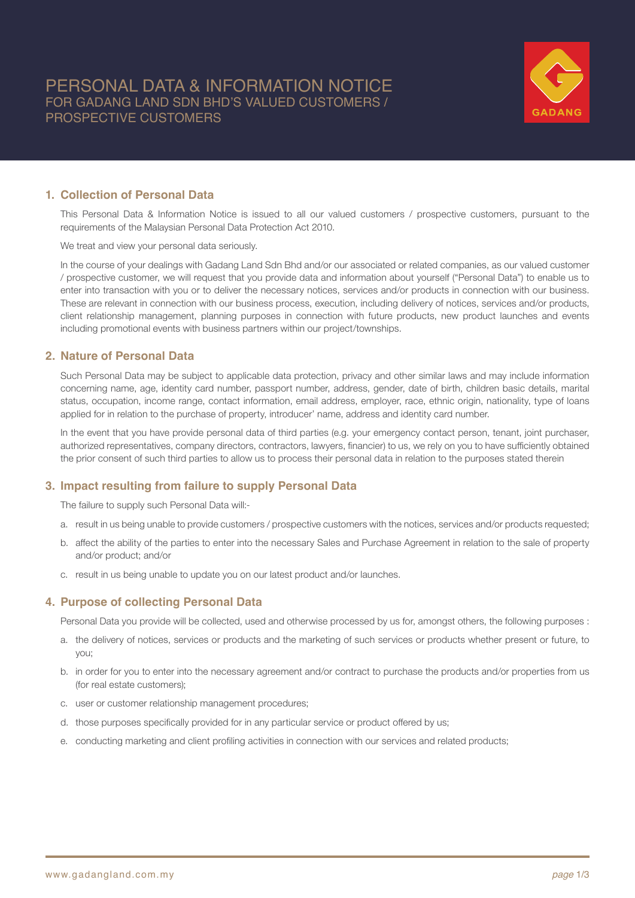

## **1. Collection of Personal Data**

This Personal Data & Information Notice is issued to all our valued customers / prospective customers, pursuant to the requirements of the Malaysian Personal Data Protection Act 2010.

We treat and view your personal data seriously.

In the course of your dealings with Gadang Land Sdn Bhd and/or our associated or related companies, as our valued customer / prospective customer, we will request that you provide data and information about yourself ("Personal Data") to enable us to enter into transaction with you or to deliver the necessary notices, services and/or products in connection with our business. These are relevant in connection with our business process, execution, including delivery of notices, services and/or products, client relationship management, planning purposes in connection with future products, new product launches and events including promotional events with business partners within our project/townships.

## **2. Nature of Personal Data**

Such Personal Data may be subject to applicable data protection, privacy and other similar laws and may include information concerning name, age, identity card number, passport number, address, gender, date of birth, children basic details, marital status, occupation, income range, contact information, email address, employer, race, ethnic origin, nationality, type of loans applied for in relation to the purchase of property, introducer' name, address and identity card number.

In the event that you have provide personal data of third parties (e.g. your emergency contact person, tenant, joint purchaser, authorized representatives, company directors, contractors, lawyers, financier) to us, we rely on you to have sufficiently obtained the prior consent of such third parties to allow us to process their personal data in relation to the purposes stated therein

# **3. Impact resulting from failure to supply Personal Data**

The failure to supply such Personal Data will:-

- a. result in us being unable to provide customers / prospective customers with the notices, services and/or products requested;
- b. affect the ability of the parties to enter into the necessary Sales and Purchase Agreement in relation to the sale of property and/or product; and/or
- c. result in us being unable to update you on our latest product and/or launches.

### **4. Purpose of collecting Personal Data**

Personal Data you provide will be collected, used and otherwise processed by us for, amongst others, the following purposes :

- a. the delivery of notices, services or products and the marketing of such services or products whether present or future, to you;
- b. in order for you to enter into the necessary agreement and/or contract to purchase the products and/or properties from us (for real estate customers);
- c. user or customer relationship management procedures;
- d. those purposes specifically provided for in any particular service or product offered by us;
- e. conducting marketing and client profiling activities in connection with our services and related products;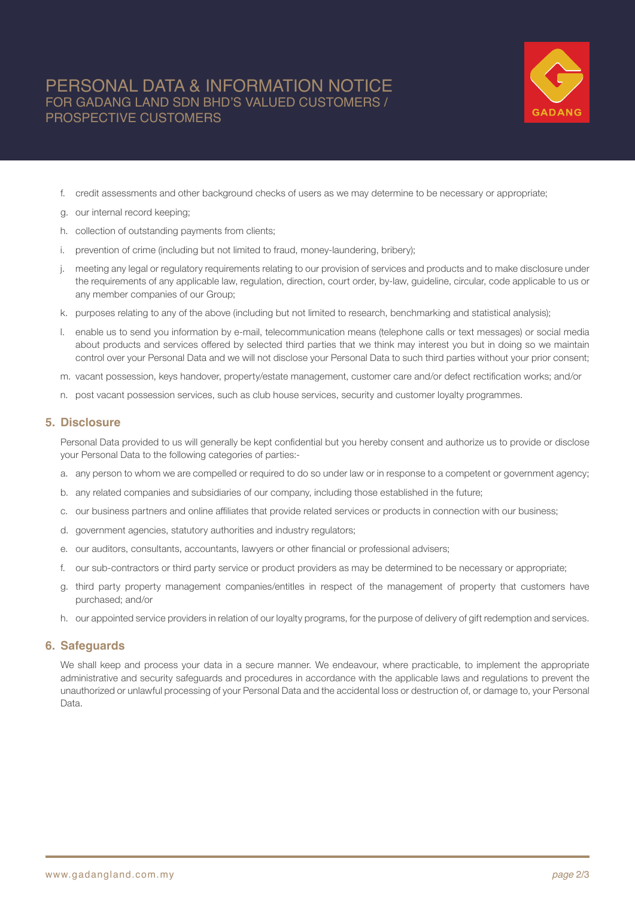# PERSONAL DATA & INFORMATION NOTICE FOR GADANG LAND SDN BHD'S VALUED CUSTOMERS / PROSPECTIVE CUSTOMERS



- f. credit assessments and other background checks of users as we may determine to be necessary or appropriate;
- g. our internal record keeping;
- h. collection of outstanding payments from clients;
- i. prevention of crime (including but not limited to fraud, money-laundering, bribery);
- j. meeting any legal or regulatory requirements relating to our provision of services and products and to make disclosure under the requirements of any applicable law, regulation, direction, court order, by-law, guideline, circular, code applicable to us or any member companies of our Group;
- k. purposes relating to any of the above (including but not limited to research, benchmarking and statistical analysis);
- l. enable us to send you information by e-mail, telecommunication means (telephone calls or text messages) or social media about products and services offered by selected third parties that we think may interest you but in doing so we maintain control over your Personal Data and we will not disclose your Personal Data to such third parties without your prior consent;
- m. vacant possession, keys handover, property/estate management, customer care and/or defect rectification works; and/or
- n. post vacant possession services, such as club house services, security and customer loyalty programmes.

### **5. Disclosure**

Personal Data provided to us will generally be kept confidential but you hereby consent and authorize us to provide or disclose your Personal Data to the following categories of parties:-

- a. any person to whom we are compelled or required to do so under law or in response to a competent or government agency;
- b. any related companies and subsidiaries of our company, including those established in the future;
- c. our business partners and online affiliates that provide related services or products in connection with our business;
- d. government agencies, statutory authorities and industry regulators;
- e. our auditors, consultants, accountants, lawyers or other financial or professional advisers;
- f. our sub-contractors or third party service or product providers as may be determined to be necessary or appropriate;
- g. third party property management companies/entitles in respect of the management of property that customers have purchased; and/or
- h. our appointed service providers in relation of our loyalty programs, for the purpose of delivery of gift redemption and services.

### **6. Safeguards**

We shall keep and process your data in a secure manner. We endeavour, where practicable, to implement the appropriate administrative and security safeguards and procedures in accordance with the applicable laws and regulations to prevent the unauthorized or unlawful processing of your Personal Data and the accidental loss or destruction of, or damage to, your Personal Data.